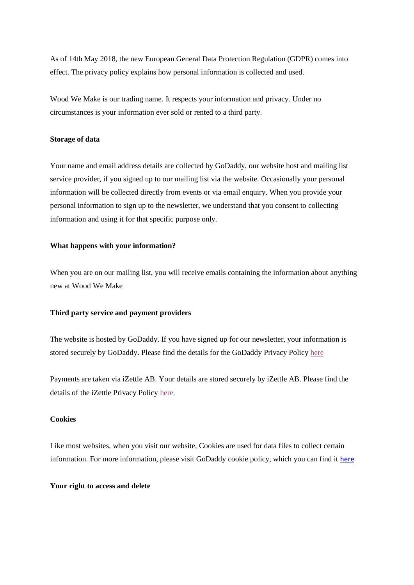As of 14th May 2018, the new European General Data Protection Regulation (GDPR) comes into effect. The privacy policy explains how personal information is collected and used.

Wood We Make is our trading name. It respects your information and privacy. Under no circumstances is your information ever sold or rented to a third party.

## **Storage of data**

Your name and email address details are collected by GoDaddy, our website host and mailing list service provider, if you signed up to our mailing list via the website. Occasionally your personal information will be collected directly from events or via email enquiry. When you provide your personal information to sign up to the newsletter, we understand that you consent to collecting information and using it for that specific purpose only.

# **What happens with your information?**

When you are on our mailing list, you will receive emails containing the information about anything new at Wood We Make

## **Third party service and payment providers**

The website is hosted by GoDaddy. If you have signed up for our newsletter, your information is stored securely by GoDaddy. Please find the details for the GoDaddy Privacy Policy [here](https://in.godaddy.com/legal/agreements/privacy-policy?target=_blank)

Payments are taken via iZettle AB. Your details are stored securely by iZettle AB. Please find the details of the iZettle Privacy Policy [here.](https://www.izettle.com/gb/privacy-policy)

#### **Cookies**

Like most websites, when you visit our website, Cookies are used for data files to collect certain information. For more information, please visit GoDaddy cookie policy, which you can find it [here](https://uk.godaddy.com/legal/agreements/cookie-policy)

#### **Your right to access and delete**